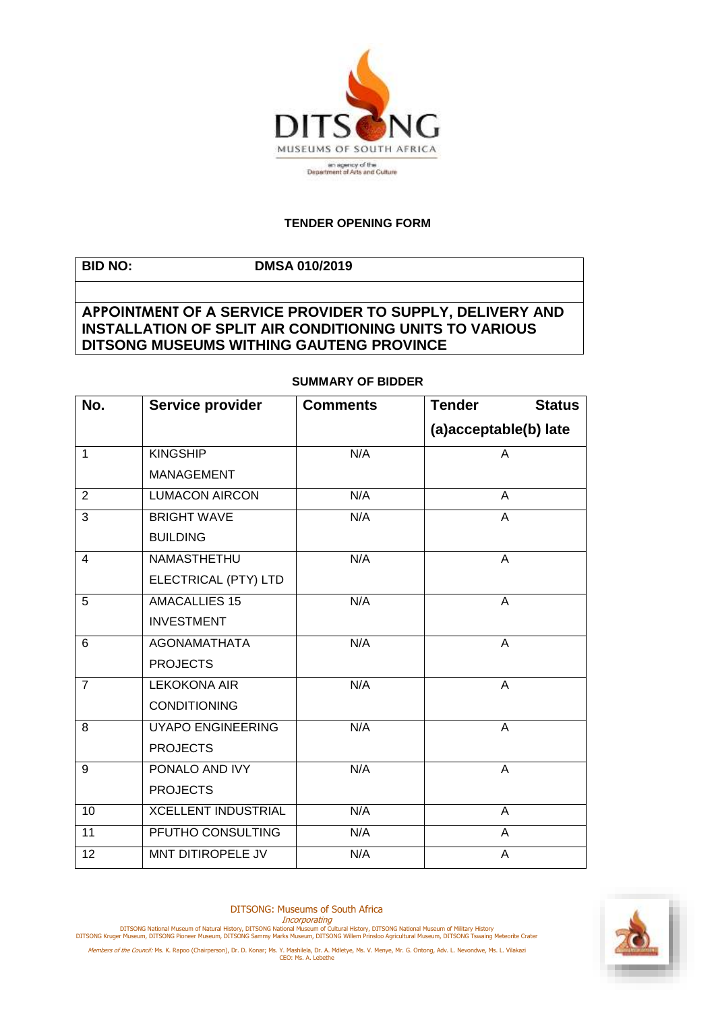

## **TENDER OPENING FORM**

**BID NO: DMSA 010/2019 APPOINTMENT OF A SERVICE PROVIDER TO SUPPLY, DELIVERY AND INSTALLATION OF SPLIT AIR CONDITIONING UNITS TO VARIOUS DITSONG MUSEUMS WITHING GAUTENG PROVINCE**

| No.            | Service provider           | <b>Comments</b> | <b>Tender</b><br><b>Status</b> |
|----------------|----------------------------|-----------------|--------------------------------|
|                |                            |                 | (a)acceptable(b) late          |
| $\mathbf{1}$   | <b>KINGSHIP</b>            | N/A             | A                              |
|                | <b>MANAGEMENT</b>          |                 |                                |
| 2              | <b>LUMACON AIRCON</b>      | N/A             | A                              |
| $\overline{3}$ | <b>BRIGHT WAVE</b>         | N/A             | A                              |
|                | <b>BUILDING</b>            |                 |                                |
| $\overline{4}$ | <b>NAMASTHETHU</b>         | N/A             | A                              |
|                | ELECTRICAL (PTY) LTD       |                 |                                |
| 5              | <b>AMACALLIES 15</b>       | N/A             | A                              |
|                | <b>INVESTMENT</b>          |                 |                                |
| 6              | <b>AGONAMATHATA</b>        | N/A             | A                              |
|                | <b>PROJECTS</b>            |                 |                                |
| $\overline{7}$ | <b>LEKOKONA AIR</b>        | N/A             | $\overline{A}$                 |
|                | <b>CONDITIONING</b>        |                 |                                |
| 8              | <b>UYAPO ENGINEERING</b>   | N/A             | A                              |
|                | <b>PROJECTS</b>            |                 |                                |
| $\overline{9}$ | PONALO AND IVY             | N/A             | $\overline{A}$                 |
|                | <b>PROJECTS</b>            |                 |                                |
| 10             | <b>XCELLENT INDUSTRIAL</b> | N/A             | A                              |
| 11             | PFUTHO CONSULTING          | N/A             | A                              |
| 12             | <b>MNT DITIROPELE JV</b>   | N/A             | A                              |

## **SUMMARY OF BIDDER**

DITSONG: Museums of South Africa



Incorporating<br>DITSONG National Museum of Natural History, DITSONG National Museum of Military History<br>DITSONG Kruger Museum, DITSONG Pioneer Museum, DITSONG Sammy Marks Museum, DITSONG Willem Prinsloo Agricultural Museum,



Members of the Council: Ms. K. Rapoo (Chairperson), Dr. D. Konar; Ms. Y. Mashilela, Dr. A. Mdletye, Ms. V. Menye, Mr. G. Ontong, Adv. L. Nevondwe, Ms. L. Vilakazi<br>CEO: Ms. A. Lebethe